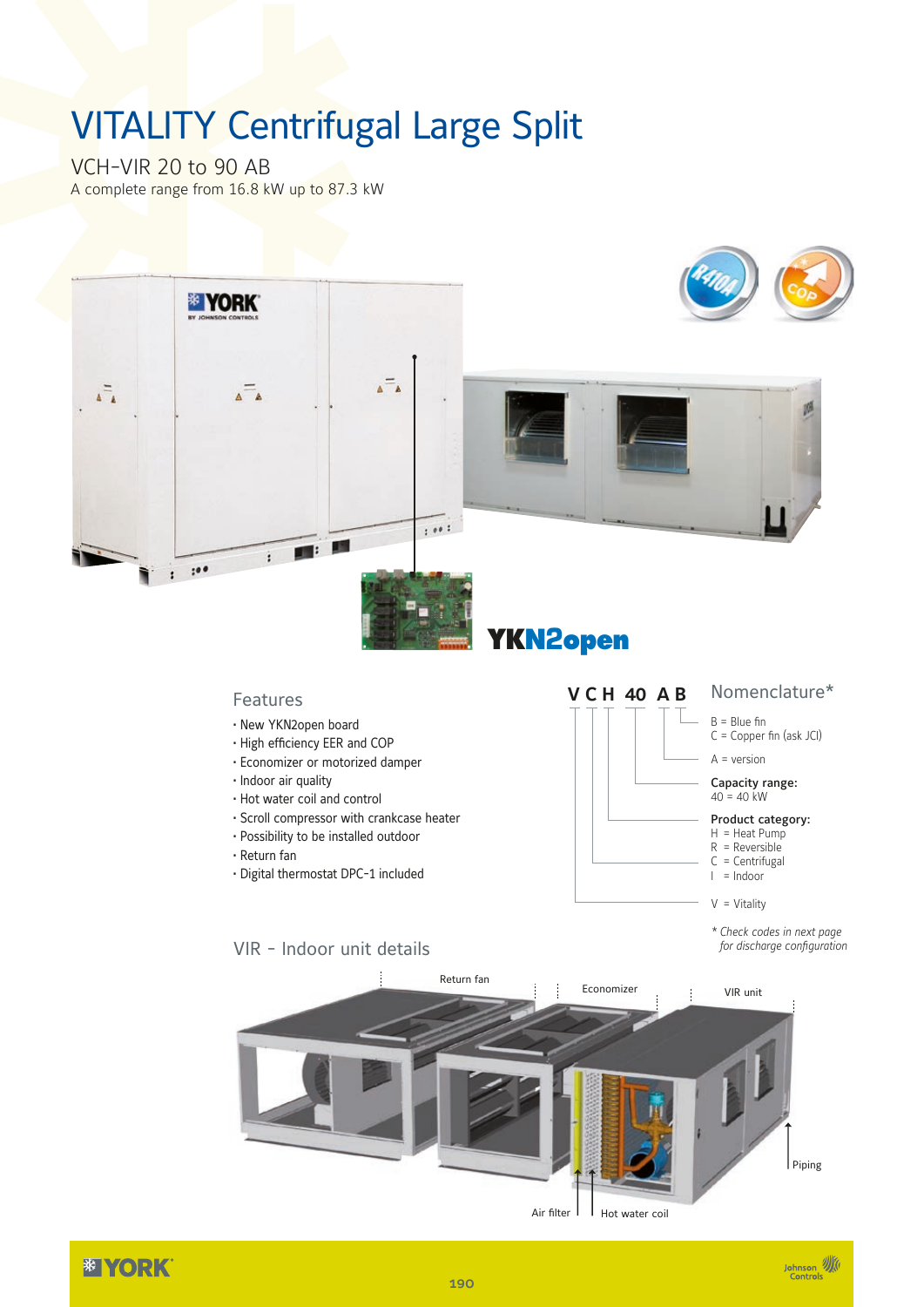## VITALITY Centrifugal Large Split

VCH-VIR 20 to 90 AB A complete range from 16.8 kW up to 87.3 kW



*<b>EXPORK*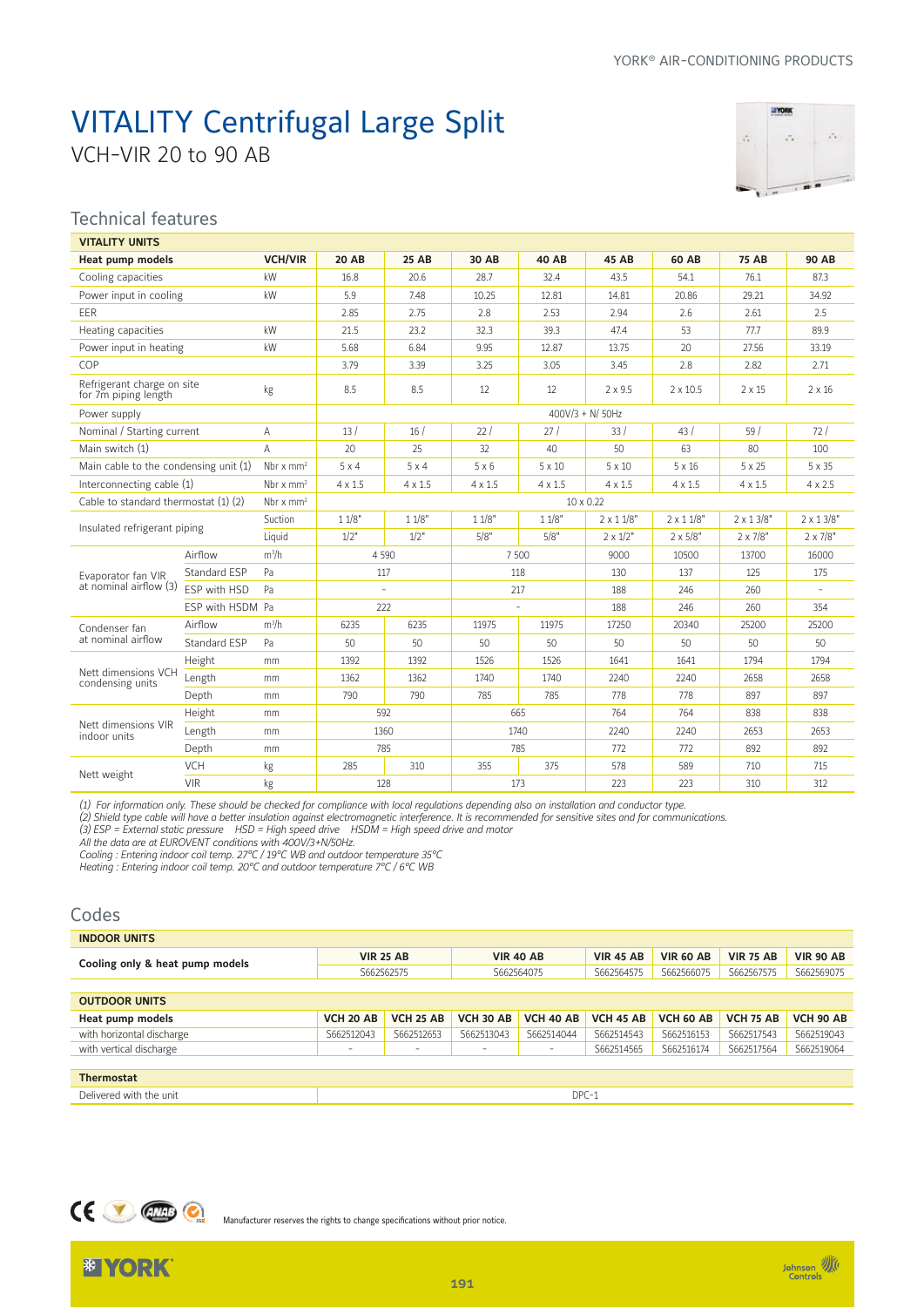# VITALITY Centrifugal Large Split

VCH-VIR 20 to 90 AB



Johnson **W** 

#### Technical features

| <b>VITALITY UNITS</b>                              |                  |                         |                |                |                |                |                  |                  |                  |                  |
|----------------------------------------------------|------------------|-------------------------|----------------|----------------|----------------|----------------|------------------|------------------|------------------|------------------|
| <b>Heat pump models</b>                            |                  | <b>VCH/VIR</b>          | <b>20 AB</b>   | <b>25 AB</b>   | 30 AB          | <b>40 AB</b>   | 45 AB            | 60 AB            | <b>75 AB</b>     | <b>90 AB</b>     |
| Cooling capacities                                 |                  | kW                      | 16.8           | 20.6           | 28.7           | 32.4           | 43.5             | 54.1             | 76.1             | 87.3             |
| Power input in cooling                             |                  | kW                      | 5.9            | 7.48           | 10.25          | 12.81          | 14.81            | 20.86            | 29.21            | 34.92            |
| EER                                                |                  |                         | 2.85           | 2.75           | 2.8            | 2.53           | 2.94             | 2.6              | 2.61             | 2.5              |
| Heating capacities                                 |                  | kW                      | 21.5           | 23.2           | 32.3           | 39.3           | 47.4             | 53               | 77.7             | 89.9             |
| Power input in heating                             |                  | kW                      | 5.68           | 6.84           | 9.95           | 12.87          | 13.75            | 20               | 27.56            | 33.19            |
| COP                                                |                  |                         | 3.79           | 3.39           | 3.25           | 3.05           | 3.45             | 2.8              | 2.82             | 2.71             |
| Refrigerant charge on site<br>for 7m piping length |                  | kg                      | 8.5            | 8.5            | 12             | 12             | $2 \times 9.5$   | $2 \times 10.5$  | $2 \times 15$    | $2 \times 16$    |
| Power supply                                       |                  |                         |                |                |                |                | 400V/3 + N/ 50Hz |                  |                  |                  |
| Nominal / Starting current                         |                  | A                       | 13/            | 16/            | 22/            | 27/            | 33/              | 43/              | 59/              | 72/              |
| Main switch (1)                                    |                  | A                       | 20             | 25             | 32             | 40             | 50               | 63               | 80               | 100              |
| Main cable to the condensing unit (1)              |                  | Nbr $x$ mm <sup>2</sup> | $5 \times 4$   | $5 \times 4$   | $5 \times 6$   | $5 \times 10$  | $5 \times 10$    | $5 \times 16$    | $5 \times 25$    | 5 x 35           |
| Interconnecting cable (1)                          |                  | Nbr $x$ mm <sup>2</sup> | $4 \times 1.5$ | $4 \times 1.5$ | $4 \times 1.5$ | $4 \times 1.5$ | $4 \times 1.5$   | $4 \times 1.5$   | $4 \times 1.5$   | $4 \times 2.5$   |
| Cable to standard thermostat (1) (2)               |                  | Nbr $x$ mm <sup>2</sup> |                |                |                |                | 10 x 0.22        |                  |                  |                  |
| Insulated refrigerant piping                       |                  | Suction                 | 11/8"          | 11/8"          | 11/8"          | 11/8"          | $2 \times 11/8"$ | $2 \times 11/8"$ | $2 \times 13/8"$ | $2 \times 13/8"$ |
|                                                    |                  | Liquid                  | 1/2"           | 1/2"           | 5/8"           | 5/8"           | $2 \times 1/2"$  | $2 \times 5/8"$  | $2 \times 7/8"$  | $2 \times 7/8"$  |
|                                                    | Airflow          | $m^3/h$                 |                | 4 5 9 0        |                | 7 500          | 9000             | 10500            | 13700            | 16000            |
| Evaporator fan VIR                                 | Standard ESP     | Pa                      |                | 117            |                | 118            | 130              | 137              | 125              | 175              |
| at nominal airflow (3)                             | ESP with HSD     | Pa                      |                | $\sim$         |                | 217            | 188              | 246              | 260              |                  |
|                                                    | ESP with HSDM Pa |                         |                | 222            |                |                | 188              | 246              | 260              | 354              |
| Condenser fan                                      | Airflow          | $m^3/h$                 | 6235           | 6235           | 11975          | 11975          | 17250            | 20340            | 25200            | 25200            |
| at nominal airflow                                 | Standard ESP     | Pa                      | 50             | 50             | 50             | 50             | 50               | 50               | 50               | 50               |
|                                                    | Height           | mm                      | 1392           | 1392           | 1526           | 1526           | 1641             | 1641             | 1794             | 1794             |
| Nett dimensions VCH<br>condensing units            | Length           | mm                      | 1362           | 1362           | 1740           | 1740           | 2240             | 2240             | 2658             | 2658             |
|                                                    | Depth            | mm                      | 790            | 790            | 785            | 785            | 778              | 778              | 897              | 897              |
|                                                    | Height           | mm                      |                | 592            |                | 665            | 764              | 764              | 838              | 838              |
| Nett dimensions VIR<br>indoor units                | Length           | mm                      |                | 1360           |                | 1740           | 2240             | 2240             | 2653             | 2653             |
|                                                    | Depth            | mm                      |                | 785            |                | 785            | 772              | 772              | 892              | 892              |
| Nett weight                                        | VCH              | kg                      | 285            | 310            | 355            | 375            | 578              | 589              | 710              | 715              |
|                                                    | <b>VIR</b>       | kg                      |                | 128            |                | 173            | 223              | 223              | 310              | 312              |

*(1) For information only. These should be checked for compliance with local regulations depending also on installation and conductor type.*

*(2) Shield type cable will have a better insulation against electromagnetic interference. It is recommended for sensitive sites and for communications.*

*(3) ESP = External static pressure HSD = High speed drive HSDM = High speed drive and motor*

*All the data are at EUROVENT conditions with 400V/3+N/50Hz.*

*Cooling : Entering indoor coil temp. 27°C / 19°C WB and outdoor temperature 35°C*

*Heating : Entering indoor coil temp. 20°C and outdoor temperature 7°C / 6°C WB*

| Codes                           |                          |                  |                          |                  |                  |                  |                  |                  |
|---------------------------------|--------------------------|------------------|--------------------------|------------------|------------------|------------------|------------------|------------------|
| <b>INDOOR UNITS</b>             |                          |                  |                          |                  |                  |                  |                  |                  |
| Cooling only & heat pump models |                          | <b>VIR 25 AB</b> |                          | <b>VIR 40 AB</b> | <b>VIR 45 AB</b> | <b>VIR 60 AB</b> | <b>VIR 75 AB</b> | <b>VIR 90 AB</b> |
|                                 |                          | S662562575       |                          | S662564075       | S662564575       | S662566075       | S662567575       | S662569075       |
|                                 |                          |                  |                          |                  |                  |                  |                  |                  |
| <b>OUTDOOR UNITS</b>            |                          |                  |                          |                  |                  |                  |                  |                  |
| Heat pump models                | <b>VCH 20 AB</b>         | <b>VCH 25 AB</b> | <b>VCH 30 AB</b>         | <b>VCH 40 AB</b> | <b>VCH 45 AB</b> | VCH 60 AB        | <b>VCH 75 AB</b> | <b>VCH 90 AB</b> |
| with horizontal discharge       | S662512043               | S662512653       | S662513043               | S662514044       | S662514543       | S662516153       | S662517543       | S662519043       |
| with vertical discharge         | $\overline{\phantom{a}}$ | -                | $\overline{\phantom{m}}$ | -                | S662514565       | S662516174       | S662517564       | S662519064       |
|                                 |                          |                  |                          |                  |                  |                  |                  |                  |
| <b>Thermostat</b>               |                          |                  |                          |                  |                  |                  |                  |                  |
| Delivered with the unit         |                          |                  |                          | DPC-1            |                  |                  |                  |                  |



Manufacturer reserves the rights to change specifications without prior notice.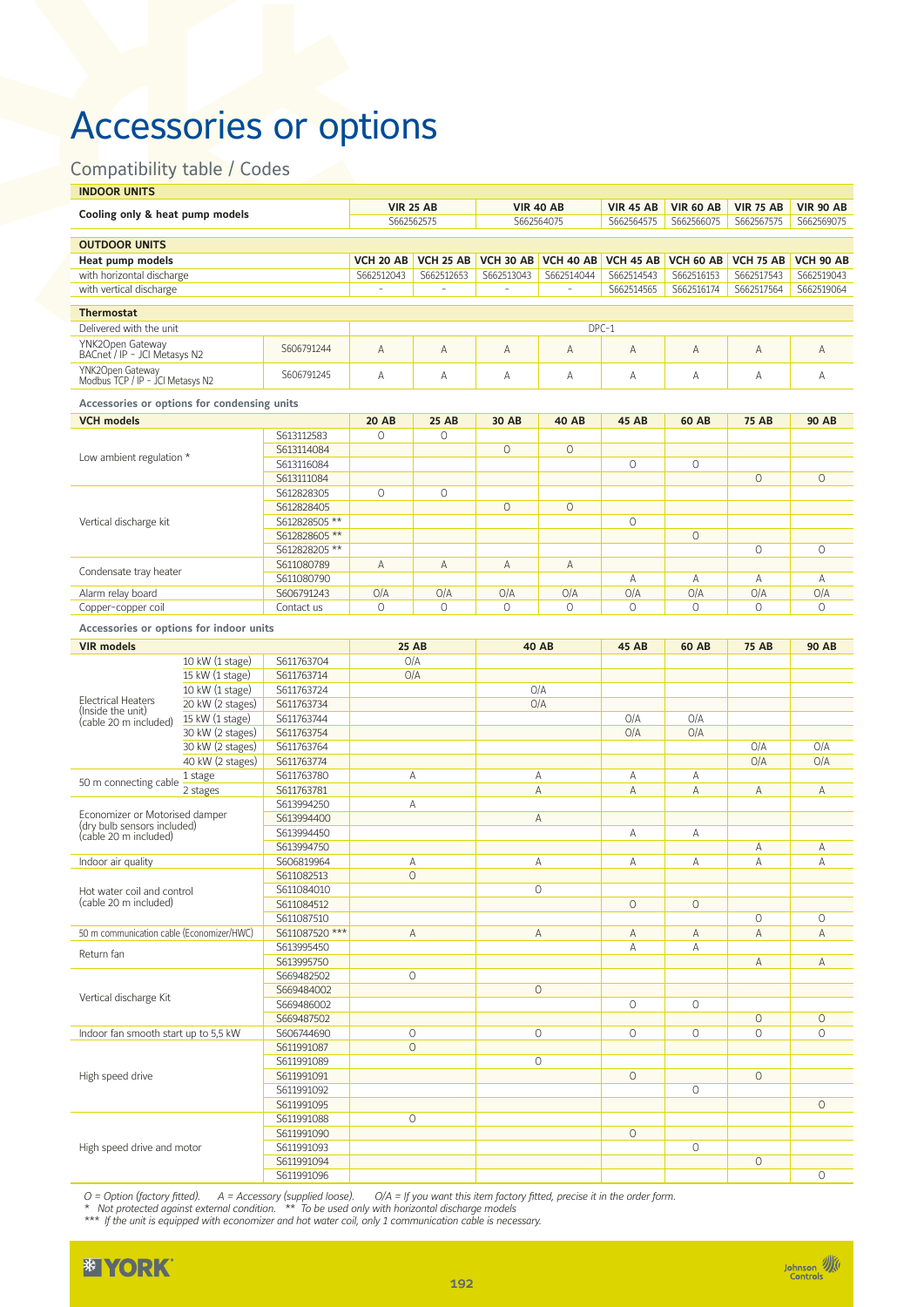### Accessories or options

### Compatibility table / Codes

| <b>INDOOR UNITS</b>                                                |                                                    |                          |                         |                   |                  |                  |                  |                  |                  |                  |
|--------------------------------------------------------------------|----------------------------------------------------|--------------------------|-------------------------|-------------------|------------------|------------------|------------------|------------------|------------------|------------------|
| Cooling only & heat pump models                                    |                                                    |                          | <b>VIR 25 AB</b>        |                   |                  | <b>VIR 40 AB</b> | <b>VIR 45 AB</b> | <b>VIR 60 AB</b> | <b>VIR 75 AB</b> | <b>VIR 90 AB</b> |
|                                                                    |                                                    |                          | S662562575              |                   |                  | S662564075       | S662564575       | S662566075       | S662567575       | S662569075       |
| <b>OUTDOOR UNITS</b>                                               |                                                    |                          |                         |                   |                  |                  |                  |                  |                  |                  |
| <b>Heat pump models</b>                                            |                                                    |                          | <b>VCH 20 AB</b>        | <b>VCH 25 AB</b>  | <b>VCH 30 AB</b> | <b>VCH 40 AB</b> | <b>VCH 45 AB</b> | <b>VCH 60 AB</b> | <b>VCH 75 AB</b> | <b>VCH 90 AB</b> |
| with horizontal discharge                                          |                                                    |                          | S662512043              | S662512653        | S662513043       | S662514044       | S662514543       | S662516153       | S662517543       | S662519043       |
| with vertical discharge                                            |                                                    |                          | ÷,                      | ÷,                | ÷,               | ÷,               | S662514565       | S662516174       | S662517564       | S662519064       |
| <b>Thermostat</b>                                                  |                                                    |                          |                         |                   |                  |                  |                  |                  |                  |                  |
| Delivered with the unit                                            |                                                    |                          |                         |                   |                  |                  | $DPC-1$          |                  |                  |                  |
| YNK2Open Gateway                                                   |                                                    | S606791244               | $\overline{A}$          | Α                 | A                | A                | A                | A                | A                | Α                |
| BACnet / IP - JCI Metasys N2                                       |                                                    |                          |                         |                   |                  |                  |                  |                  |                  |                  |
| YNK2Open Gateway<br>Modbus TCP / IP - JCI Metasys N2               |                                                    | S606791245               | Α                       | Α                 | Α                | Α                | Α                | Α                | Α                | Α                |
|                                                                    |                                                    |                          |                         |                   |                  |                  |                  |                  |                  |                  |
| Accessories or options for condensing units                        |                                                    |                          |                         |                   |                  |                  |                  |                  |                  |                  |
| <b>VCH models</b>                                                  |                                                    | S613112583               | <b>20 AB</b><br>$\circ$ | <b>25 AB</b><br>0 | 30 AB            | <b>40 AB</b>     | <b>45 AB</b>     | <b>60 AB</b>     | <b>75 AB</b>     | <b>90 AB</b>     |
|                                                                    |                                                    | S613114084               |                         |                   | $\circ$          | $\circ$          |                  |                  |                  |                  |
| Low ambient regulation *                                           |                                                    | S613116084               |                         |                   |                  |                  | 0                | $\circ$          |                  |                  |
|                                                                    |                                                    | S613111084               |                         |                   |                  |                  |                  |                  | $\circ$          | $\circ$          |
|                                                                    |                                                    | S612828305               | $\circ$                 | $\circ$           |                  |                  |                  |                  |                  |                  |
|                                                                    |                                                    | S612828405               |                         |                   | $\circ$          | $\circ$          |                  |                  |                  |                  |
| Vertical discharge kit                                             |                                                    | S612828505 **            |                         |                   |                  |                  | $\circ$          |                  |                  |                  |
|                                                                    |                                                    | S612828605 **            |                         |                   |                  |                  |                  | $\circ$          |                  |                  |
|                                                                    |                                                    | S612828205 **            |                         |                   |                  |                  |                  |                  | 0                | $\circ$          |
|                                                                    |                                                    | S611080789               | Α                       | Α                 | A                | Α                |                  |                  |                  |                  |
| Condensate tray heater                                             |                                                    | S611080790               |                         |                   |                  |                  | Α                | А                | Α                | Α                |
| Alarm relay board                                                  |                                                    | S606791243               | O/A                     | O/A               | O/A              | O/A              | O/A              | O/A              | O/A              | O/A              |
| Copper-copper coil                                                 |                                                    | Contact us               | $\Omega$                | $\Omega$          | $\Omega$         | $\Omega$         | $\Omega$         | $\Omega$         | $\Omega$         | $\Omega$         |
| Accessories or options for indoor units                            |                                                    |                          |                         |                   |                  |                  |                  |                  |                  |                  |
| <b>VIR models</b>                                                  |                                                    |                          | <b>25 AB</b>            |                   |                  |                  |                  |                  |                  |                  |
|                                                                    | 10 kW (1 stage)                                    | S611763704               | O/A                     |                   |                  | <b>40 AB</b>     | <b>45 AB</b>     | <b>60 AB</b>     | <b>75 AB</b>     | <b>90 AB</b>     |
|                                                                    | 15 kW (1 stage)                                    | S611763714               | O/A                     |                   |                  |                  |                  |                  |                  |                  |
|                                                                    | 10 kW (1 stage)                                    | S611763724               |                         |                   |                  | O/A              |                  |                  |                  |                  |
| <b>Electrical Heaters</b>                                          | 20 kW (2 stages)                                   | S611763734               |                         |                   |                  | O/A              |                  |                  |                  |                  |
| (Inside the unit)<br>(cable 20 m included)                         | 15 kW (1 stage)                                    | S611763744               |                         |                   |                  |                  | O/A              | O/A              |                  |                  |
|                                                                    | 30 kW (2 stages)                                   | S611763754               |                         |                   |                  |                  | O/A              | O/A              |                  |                  |
|                                                                    | 30 kW (2 stages)                                   | S611763764               |                         |                   |                  |                  |                  |                  | O/A              | O/A              |
|                                                                    | 40 kW (2 stages)                                   | S611763774               |                         |                   |                  |                  |                  |                  | O/A              | O/A              |
| 50 m connecting cable                                              | 1 stage                                            | S611763780               | Α                       |                   |                  | Α                | Α                | А                |                  |                  |
|                                                                    | 2 stages                                           | S611763781               |                         |                   |                  | A                | Α                | Α                | Α                | Α                |
|                                                                    |                                                    | S613994250               | Α                       |                   |                  |                  |                  |                  |                  |                  |
| Economizer or Motorised damper<br>(dry bulb sensors included)      |                                                    | S613994400               |                         |                   |                  | A                |                  |                  |                  |                  |
| (cable 20 m included)                                              |                                                    | S613994450               |                         |                   |                  |                  | А                | Α                |                  |                  |
|                                                                    |                                                    | S613994750               |                         |                   |                  |                  |                  |                  | Α                | Α                |
| Indoor air quality                                                 |                                                    | S606819964               | Α                       |                   |                  | Α                | Α                | Α                | Α                | Α                |
|                                                                    |                                                    | S611082513<br>S611084010 | O                       |                   |                  | $\circ$          |                  |                  |                  |                  |
| Hot water coil and control                                         |                                                    | S611084512               |                         |                   |                  |                  | $\circ$          | $\circ$          |                  |                  |
|                                                                    |                                                    | S611087510               |                         |                   |                  |                  |                  |                  | 0                | $\circ$          |
|                                                                    |                                                    | S611087520 ***           |                         | A                 |                  | A                | Α                | Α                | A                | A                |
| (cable 20 m included)<br>50 m communication cable (Economizer/HWC) |                                                    | S613995450               |                         |                   |                  |                  | Α                | Α                |                  |                  |
|                                                                    |                                                    | S613995750               |                         |                   |                  |                  |                  |                  | Α                | Α                |
| Return fan                                                         |                                                    | S669482502               | $\circ$                 |                   |                  |                  |                  |                  |                  |                  |
|                                                                    |                                                    | S669484002               |                         |                   |                  | $\circ$          |                  |                  |                  |                  |
| Vertical discharge Kit                                             |                                                    | S669486002               |                         |                   |                  |                  | $\circ$          | 0                |                  |                  |
|                                                                    |                                                    | S669487502               |                         |                   |                  |                  |                  |                  | $\circ$          | $\circ$          |
|                                                                    | Indoor fan smooth start up to 5,5 kW<br>S606744690 |                          | $\circ$                 |                   |                  | $\circ$          | $\circ$          | $\circ$          | $\circ$          | $\circ$          |
|                                                                    | S611991087                                         |                          | $\circ$                 |                   |                  |                  |                  |                  |                  |                  |
|                                                                    |                                                    | S611991089               |                         |                   |                  | $\circ$          |                  |                  |                  |                  |
| High speed drive                                                   |                                                    | S611991091               |                         |                   |                  |                  | $\circ$          |                  | $\circ$          |                  |
|                                                                    | S611991092                                         |                          |                         |                   |                  |                  |                  | $\circ$          |                  |                  |
|                                                                    | S611991095                                         |                          |                         |                   |                  |                  |                  |                  |                  | $\circ$          |
|                                                                    |                                                    | S611991088               | $\circ$                 |                   |                  |                  |                  |                  |                  |                  |
|                                                                    |                                                    | S611991090               |                         |                   |                  |                  | $\circ$          |                  |                  |                  |
| High speed drive and motor                                         |                                                    | S611991093<br>S611991094 |                         |                   |                  |                  |                  | $\circ$          | $\circ$          |                  |
|                                                                    |                                                    | S611991096               |                         |                   |                  |                  |                  |                  |                  | $\circ$          |
|                                                                    |                                                    |                          |                         |                   |                  |                  |                  |                  |                  |                  |

*O = Option (factory fitted). A = Accessory (supplied loose). O/A = If you want this item factory fitted, precise it in the order form.*

*\* Not protected against external condition. \*\* To be used only with horizontal discharge models* 

*\*\*\* If the unit is equipped with economizer and hot water coil, only 1 communication cable is necessary.* 

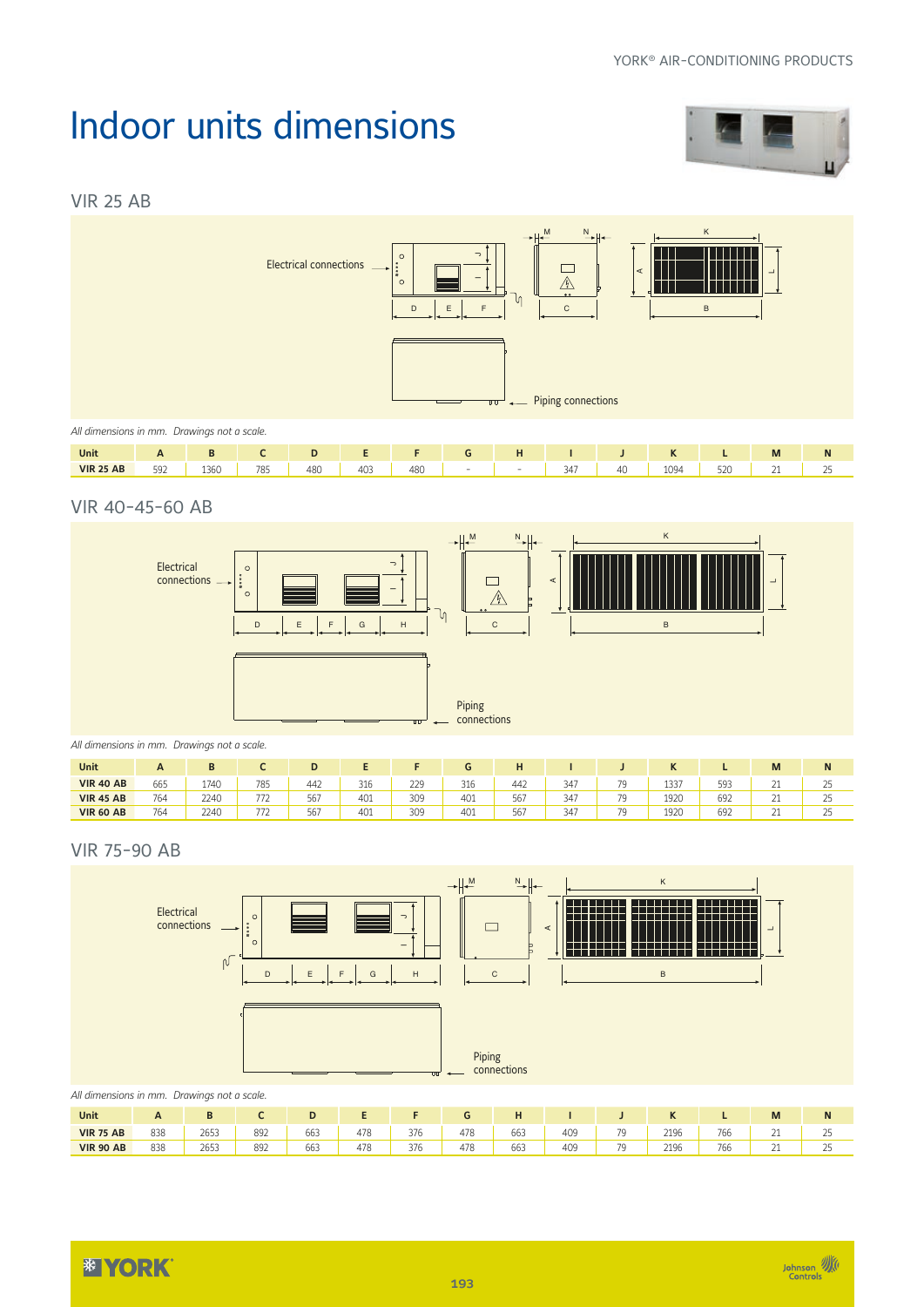### Indoor units dimensions







| 785<br>403<br>592<br>$\Gamma$<br>480<br>1094<br>1360<br>480<br>$\sim$ $\sim$<br>$\bigcap_{n=1}^{\infty}$<br><b>VIR 25 AB</b><br>$40^{\circ}$<br>≺4.<br>-<br>526<br>JT.<br>ت<br><u>_</u><br>$ -$<br>.<br>. | Unit | $\overline{\phantom{0}}$ |  |  |  | . . |  | $\overline{1}$<br>n. | M | w |
|-----------------------------------------------------------------------------------------------------------------------------------------------------------------------------------------------------------|------|--------------------------|--|--|--|-----|--|----------------------|---|---|
|                                                                                                                                                                                                           |      |                          |  |  |  |     |  |                      |   |   |

#### VIR 40-45-60 AB



| Unit             | A   | D    |     |              |     |     |                      |     |     |    | יי   |     | M          | N                   |
|------------------|-----|------|-----|--------------|-----|-----|----------------------|-----|-----|----|------|-----|------------|---------------------|
| <b>VIR 40 AB</b> | 665 | 1740 | 785 | 442          | 316 | 229 | $\sim$ $\sim$<br>316 | 442 | 347 | 70 | 1337 | 593 | --         | $\sim$ $\sim$<br>ت  |
| <b>VIR 45 AB</b> | 764 | 2240 | 772 | 567          | 401 | 309 | 401                  | 56  | 347 | 70 | 1920 | 692 | <u>_</u>   | $\sim$ $\sim$<br>رے |
| <b>VIR 60 AB</b> | 764 | 2240 | 772 | - - -<br>56/ | 401 | 309 | 401                  | 567 | 347 | 70 | 1920 | 692 | <u>_ _</u> | رے                  |

#### VIR 75-90 AB



| Unit             |     |      |     |                      |            |     |     |             |     |                          |      |     | IVI                  | N               |
|------------------|-----|------|-----|----------------------|------------|-----|-----|-------------|-----|--------------------------|------|-----|----------------------|-----------------|
| <b>VIR 75 AB</b> | 838 | 2653 | 892 | 0.00<br>663          | 470<br>4/6 | 376 | 478 | 0.00<br>663 | 409 | $\overline{\phantom{a}}$ | 2196 | 766 | $\sim$<br><u>_ _</u> | $\sim$ $-$<br>ت |
| <b>VIR 90 AB</b> | 838 | 2653 | 892 | $\sim$ $\sim$<br>663 | 470<br>4/6 | 376 | 478 | 0.00<br>663 | 409 | - -                      | 2196 | 766 | $\sim$<br><u>_ _</u> | $\sim$ $-$<br>ت |



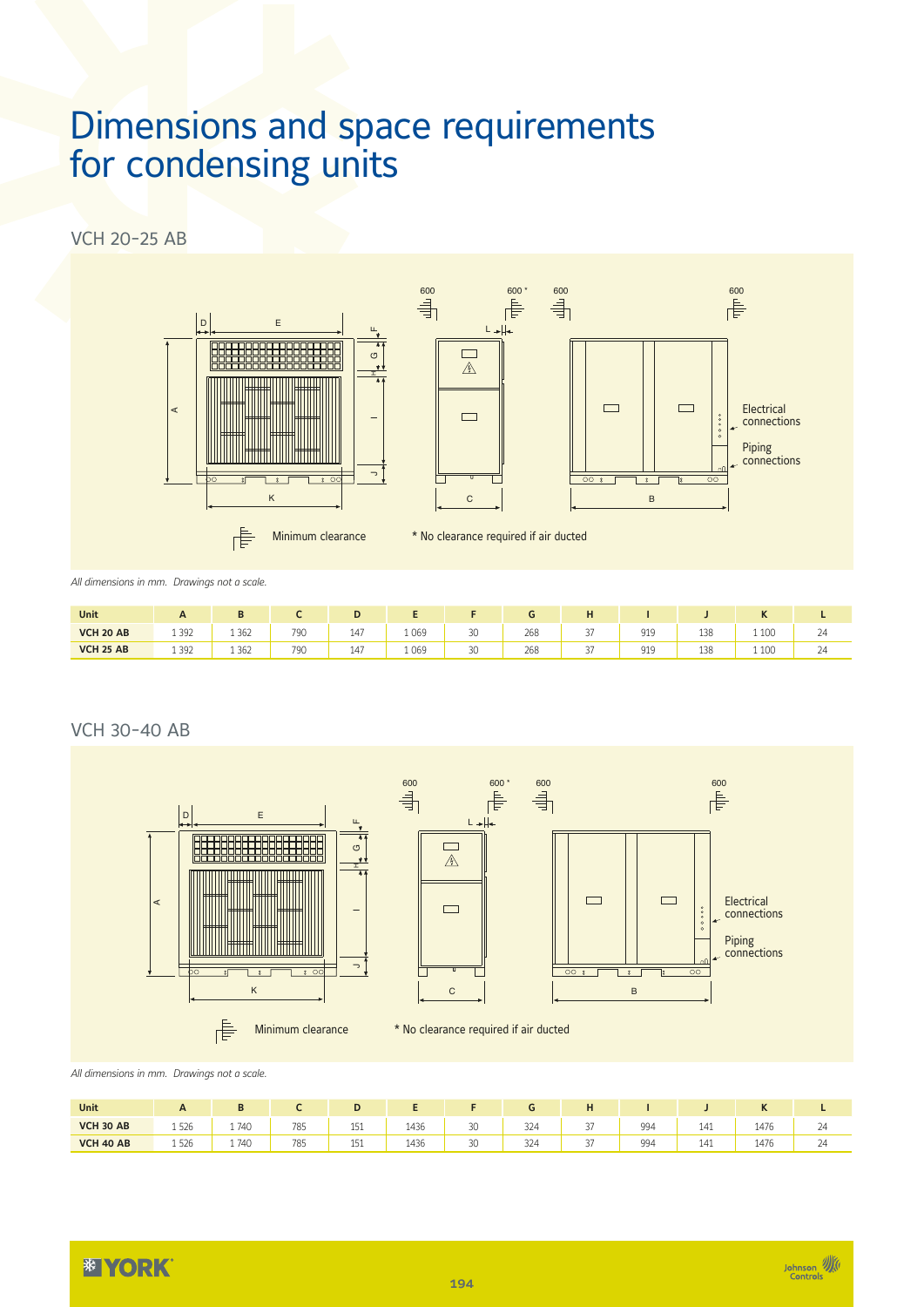### Dimensions and space requirements for condensing units

VCH 20-25 AB



*All dimensions in mm. Drawings not a scale.*

| Unit             | A       |         |     | е   |         |    |     |                 |     |     | $\mathbf{r}$ |         |
|------------------|---------|---------|-----|-----|---------|----|-----|-----------------|-----|-----|--------------|---------|
| <b>VCH 20 AB</b> | 1 3 9 2 | 1 3 6 2 | 790 | 147 | 1 0 6 9 | 30 | 268 | $\sim$<br>◡     | 919 | 138 | 1 1 0 0      | 24      |
| <b>VCH 25 AB</b> | 1 3 9 2 | 1 3 6 2 | 790 | 147 | 1069    | 30 | 268 | $\sim$ $-$<br>◡ | 919 | 138 | 1 1 0 0      | $^{24}$ |

#### VCH 30-40 AB





*All dimensions in mm. Drawings not a scale.*

| Unit             | $\mathbf{A}$ | D    |     |     |      |    |     | н             |     |     | N    |                  |
|------------------|--------------|------|-----|-----|------|----|-----|---------------|-----|-----|------|------------------|
| <b>VCH 30 AB</b> | 1526         | 1740 | 785 | 151 | 1436 | 30 | 324 | 27<br>، ب     | 994 | 141 | 1476 | $\sim$<br>$\sim$ |
| <b>VCH 40 AB</b> | 1526         | 1740 | 785 | 151 | 1436 | 30 | 324 | $\sim$<br>، ب | 994 | 141 | 1476 | $\sim$<br>24     |